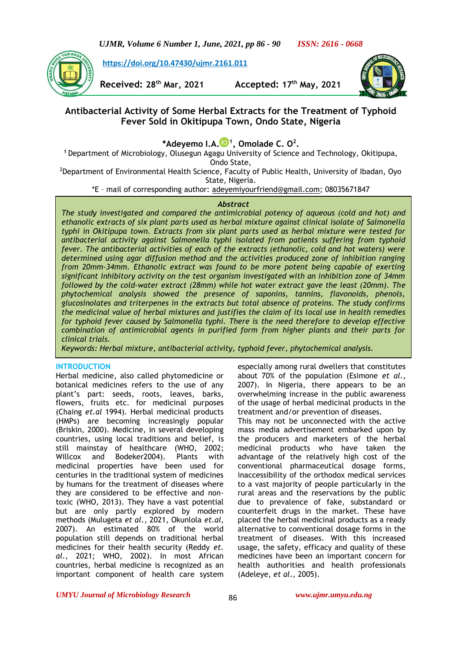*UJMR, Volume 6 Number 1, June, 2021, pp 86 - 90 ISSN: 2616 - 0668*



**[https://doi.org/10.47430/ujmr.2161.011](https://doi.org/10.47430/ujmr.2052.001)**

**Received: 28th Mar, 2021 Accepted: 17th May, 2021**



# **Antibacterial Activity of Some Herbal Extracts for the Treatment of Typhoid Fever Sold in Okitipupa Town, Ondo State, Nigeria**

**\*Adeyemo I.A[.](https://orcid.org/0000-0001-8823-5469) 1 , Omolade C. O<sup>2</sup> .**

**<sup>1</sup>**Department of Microbiology, Olusegun Agagu University of Science and Technology, Okitipupa, Ondo State,

<sup>2</sup>Department of Environmental Health Science, Faculty of Public Health, University of Ibadan, Oyo State, Nigeria.

\*E – mail of corresponding author: [adeyemiyourfriend@gmail.com;](mailto:adeyemiyourfriend@gmail.com) 08035671847

# *Abstract*

*The study investigated and compared the antimicrobial potency of aqueous (cold and hot) and ethanolic extracts of six plant parts used as herbal mixture against clinical isolate of Salmonella typhi in Okitipupa town. Extracts from six plant parts used as herbal mixture were tested for antibacterial activity against Salmonella typhi isolated from patients suffering from typhoid fever. The antibacterial activities of each of the extracts (ethanolic, cold and hot waters) were determined using agar diffusion method and the activities produced zone of inhibition ranging from 20mm-34mm. Ethanolic extract was found to be more potent being capable of exerting significant inhibitory activity on the test organism investigated with an inhibition zone of 34mm followed by the cold-water extract (28mm) while hot water extract gave the least (20mm). The phytochemical analysis showed the presence of saponins, tannins, flavonoids, phenols, glucosinolates and triterpenes in the extracts but total absence of proteins. The study confirms the medicinal value of herbal mixtures and justifies the claim of its local use in health remedies for typhoid fever caused by Salmonella typhi. There is the need therefore to develop effective combination of antimicrobial agents in purified form from higher plants and their parts for clinical trials.*

*Keywords: Herbal mixture, antibacterial activity, typhoid fever, phytochemical analysis.*

# **INTRODUCTION**

Herbal medicine, also called phytomedicine or botanical medicines refers to the use of any plant's part: seeds, roots, leaves, barks, flowers, fruits etc. for medicinal purposes (Chaing *et.al* 1994). Herbal medicinal products (HMPs) are becoming increasingly popular (Briskin, 2000). Medicine, in several developing countries, using local traditions and belief, is still mainstay of healthcare (WHO, 2002; Willcox and Bodeker2004). Plants with medicinal properties have been used for centuries in the traditional system of medicines by humans for the treatment of diseases where they are considered to be effective and nontoxic (WHO, 2013). They have a vast potential but are only partly explored by modern methods (Mulugeta *et al*., 2021, Okunlola *et.al*, 2007). An estimated 80% of the world population still depends on traditional herbal medicines for their health security (Reddy *et. al.,* 2021; WHO, 2002). In most African countries, herbal medicine is recognized as an important component of health care system especially among rural dwellers that constitutes about 70% of the population (Esimone *et al*., 2007). In Nigeria, there appears to be an overwhelming increase in the public awareness of the usage of herbal medicinal products in the treatment and/or prevention of diseases.

This may not be unconnected with the active mass media advertisement embarked upon by the producers and marketers of the herbal medicinal products who have taken the advantage of the relatively high cost of the conventional pharmaceutical dosage forms, inaccessibility of the orthodox medical services to a vast majority of people particularly in the rural areas and the reservations by the public due to prevalence of fake, substandard or counterfeit drugs in the market. These have placed the herbal medicinal products as a ready alternative to conventional dosage forms in the treatment of diseases. With this increased usage, the safety, efficacy and quality of these medicines have been an important concern for health authorities and health professionals (Adeleye, *et al*., 2005).

*UMYU Journal of Microbiology Research www.ujmr.umyu.edu.ng*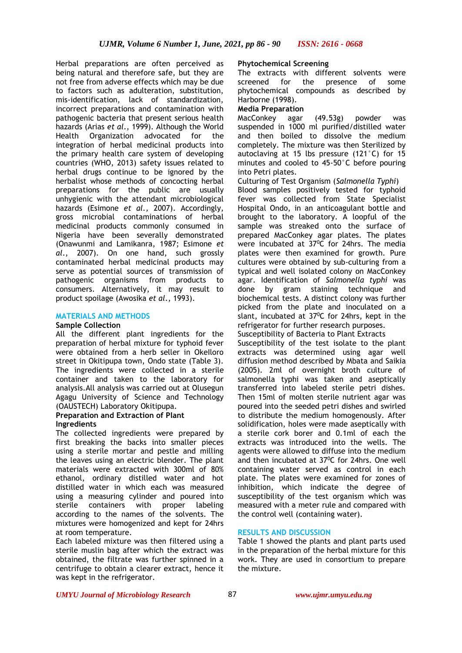Herbal preparations are often perceived as being natural and therefore safe, but they are not free from adverse effects which may be due to factors such as adulteration, substitution, mis-identification, lack of standardization, incorrect preparations and contamination with pathogenic bacteria that present serious health hazards (Arias *et al*., 1999). Although the World Health Organization advocated for the integration of herbal medicinal products into the primary health care system of developing countries (WHO, 2013) safety issues related to herbal drugs continue to be ignored by the herbalist whose methods of concocting herbal preparations for the public are usually unhygienic with the attendant microbiological hazards (Esimone *et al.,* 2007). Accordingly, gross microbial contaminations of herbal medicinal products commonly consumed in Nigeria have been severally demonstrated (Onawunmi and Lamikanra, 1987; Esimone *et al*., 2007). On one hand, such grossly contaminated herbal medicinal products may serve as potential sources of transmission of pathogenic organisms from products to consumers. Alternatively, it may result to product spoilage (Awosika *et al*., 1993).

# **MATERIALS AND METHODS**

#### **Sample Collection**

All the different plant ingredients for the preparation of herbal mixture for typhoid fever were obtained from a herb seller in Okelloro street in Okitipupa town, Ondo state (Table 3). The ingredients were collected in a sterile container and taken to the laboratory for analysis.All analysis was carried out at Olusegun Agagu University of Science and Technology (OAUSTECH) Laboratory Okitipupa.

# **Preparation and Extraction of Plant Ingredients**

The collected ingredients were prepared by first breaking the backs into smaller pieces using a sterile mortar and pestle and milling the leaves using an electric blender. The plant materials were extracted with 300ml of 80% ethanol, ordinary distilled water and hot distilled water in which each was measured using a measuring cylinder and poured into sterile containers with proper labeling according to the names of the solvents. The mixtures were homogenized and kept for 24hrs at room temperature.

Each labeled mixture was then filtered using a sterile muslin bag after which the extract was obtained, the filtrate was further spinned in a centrifuge to obtain a clearer extract, hence it was kept in the refrigerator.

#### **Phytochemical Screening**

The extracts with different solvents were screened for the presence of some phytochemical compounds as described by Harborne (1998).

# **Media Preparation**

MacConkey agar (49.53g) powder was suspended in 1000 ml purified/distilled water and then boiled to dissolve the medium completely. The mixture was then Sterilized by autoclaving at 15 lbs pressure (121°C) for 15 minutes and cooled to 45-50°C before pouring into Petri plates.

Culturing of Test Organism (*Salmonella Typhi*) Blood samples positively tested for typhoid fever was collected from State Specialist Hospital Ondo, in an anticoagulant bottle and brought to the laboratory. A loopful of the sample was streaked onto the surface of prepared MacConkey agar plates. The plates were incubated at 37<sup>0</sup>C for 24hrs. The media plates were then examined for growth. Pure cultures were obtained by sub-culturing from a typical and well isolated colony on MacConkey agar. Identification of *Salmonella typhi* was done by gram staining technique and biochemical tests. A distinct colony was further picked from the plate and inoculated on a slant, incubated at 37°C for 24hrs, kept in the refrigerator for further research purposes.

Susceptibility of Bacteria to Plant Extracts

Susceptibility of the test isolate to the plant extracts was determined using agar well diffusion method described by Mbata and Saikia (2005). 2ml of overnight broth culture of salmonella typhi was taken and aseptically transferred into labeled sterile petri dishes. Then 15ml of molten sterile nutrient agar was poured into the seeded petri dishes and swirled to distribute the medium homogenously. After solidification, holes were made aseptically with a sterile cork borer and 0.1ml of each the extracts was introduced into the wells. The agents were allowed to diffuse into the medium and then incubated at 37<sup>o</sup>C for 24hrs. One well containing water served as control in each plate. The plates were examined for zones of inhibition, which indicate the degree of susceptibility of the test organism which was measured with a meter rule and compared with the control well (containing water).

# **RESULTS AND DISCUSSION**

Table 1 showed the plants and plant parts used in the preparation of the herbal mixture for this work. They are used in consortium to prepare the mixture.

#### *UMYU Journal of Microbiology Research www.ujmr.umyu.edu.ng*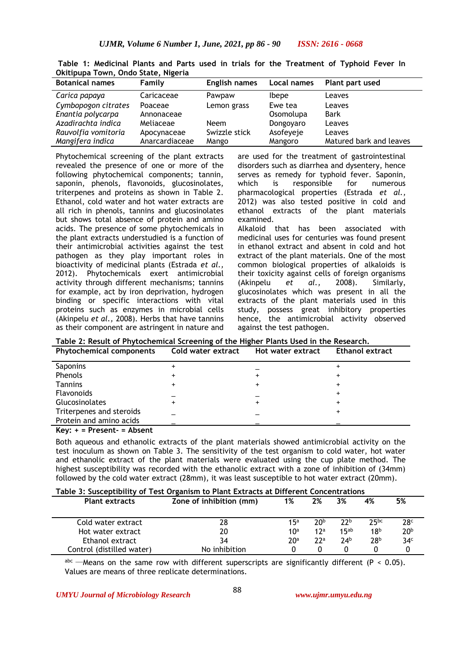| <b>Botanical names</b> | Family         | <b>English names</b> | Local names  | Plant part used         |
|------------------------|----------------|----------------------|--------------|-------------------------|
| Carica papaya          | Caricaceae     | Pawpaw               | <b>Ibepe</b> | Leaves                  |
| Cymbopogon citrates    | Poaceae        | Lemon grass          | Ewe tea      | Leaves                  |
| Enantia polycarpa      | Annonaceae     |                      | Osomolupa    | <b>Bark</b>             |
| Azadirachta indica     | Meliaceae      | <b>Neem</b>          | Dongoyaro    | Leaves                  |
| Rauvolfia vomitoria    | Apocynaceae    | Swizzle stick        | Asofeyeje    | Leaves                  |
| Mangifera indica       | Anarcardiaceae | Mango                | Mangoro      | Matured bark and leaves |

**Table 1: Medicinal Plants and Parts used in trials for the Treatment of Typhoid Fever In Okitipupa Town, Ondo State, Nigeria**

Phytochemical screening of the plant extracts revealed the presence of one or more of the following phytochemical components; tannin, saponin, phenols, flavonoids, glucosinolates, triterpenes and proteins as shown in Table 2. Ethanol, cold water and hot water extracts are all rich in phenols, tannins and glucosinolates but shows total absence of protein and amino acids. The presence of some phytochemicals in the plant extracts understudied is a function of their antimicrobial activities against the test pathogen as they play important roles in bioactivity of medicinal plants (Estrada *et al.,*  2012). Phytochemicals exert antimicrobial activity through different mechanisms; tannins for example, act by iron deprivation, hydrogen binding or specific interactions with vital proteins such as enzymes in microbial cells (Akinpelu *et al.,* 2008). Herbs that have tannins as their component are astringent in nature and

are used for the treatment of gastrointestinal disorders such as diarrhea and dysentery, hence serves as remedy for typhoid fever. Saponin, which is responsible for numerous pharmacological properties (Estrada *et al.,*  2012) was also tested positive in cold and ethanol extracts of the plant materials examined. Alkaloid that has been associated with medicinal uses for centuries was found present in ethanol extract and absent in cold and hot extract of the plant materials. One of the most common biological properties of alkaloids is

their toxicity against cells of foreign organisms (Akinpelu *et al.,* 2008). Similarly, glucosinolates which was present in all the extracts of the plant materials used in this study, possess great inhibitory properties hence, the antimicrobial activity observed against the test pathogen.

**Table 2: Result of Phytochemical Screening of the Higher Plants Used in the Research.**

| <b>Phytochemical components</b> | Cold water extract | Hot water extract | Ethanol extract |
|---------------------------------|--------------------|-------------------|-----------------|
| Saponins                        |                    |                   |                 |
| Phenols                         |                    |                   |                 |
| <b>Tannins</b>                  |                    | $\div$            |                 |
| <b>Flavonoids</b>               |                    |                   |                 |
| Glucosinolates                  |                    | $\div$            |                 |
| Triterpenes and steroids        |                    |                   |                 |
| Protein and amino acids         |                    |                   |                 |
|                                 |                    |                   |                 |

**Key: + = Present- = Absent**

Both aqueous and ethanolic extracts of the plant materials showed antimicrobial activity on the test inoculum as shown on Table 3. The sensitivity of the test organism to cold water, hot water and ethanolic extract of the plant materials were evaluated using the cup plate method. The highest susceptibility was recorded with the ethanolic extract with a zone of inhibition of (34mm) followed by the cold water extract (28mm), it was least susceptible to hot water extract (20mm).

|  | Table 3: Susceptibility of Test Organism to Plant Extracts at Different Concentrations |
|--|----------------------------------------------------------------------------------------|
|  |                                                                                        |

| <b>Plant extracts</b>     | Zone of inhibition (mm) | 1%              | 2%              | 3%               | 4%              | 5%              |  |
|---------------------------|-------------------------|-----------------|-----------------|------------------|-----------------|-----------------|--|
| Cold water extract        | 28                      | 15a             | 20p             | 22 <sub>b</sub>  | 25pc            | 28 <sup>c</sup> |  |
| Hot water extract         | 20                      | 10 <sup>a</sup> | 12 <sup>a</sup> | 15 <sub>ab</sub> | 18 <sup>b</sup> | 20 <sup>b</sup> |  |
| Ethanol extract           | 34                      | 20ª             | 22a             | 74 <sup>b</sup>  | 28b             | 34 <sup>c</sup> |  |
| Control (distilled water) | No inhibition           |                 |                 |                  |                 |                 |  |
|                           |                         |                 |                 |                  |                 |                 |  |

abc ……Means on the same row with different superscripts are significantly different (P < 0.05). Values are means of three replicate determinations.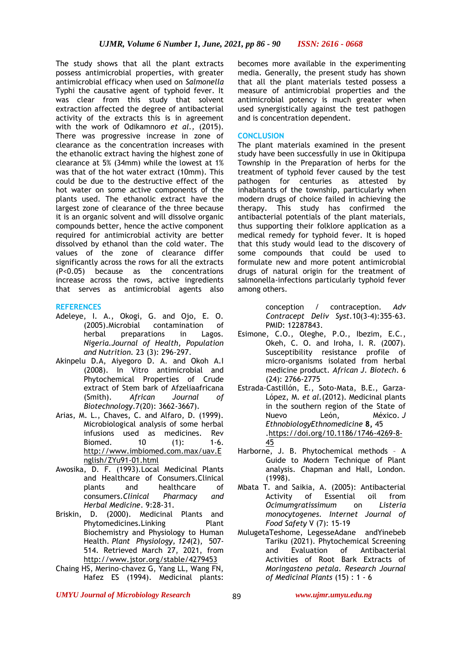The study shows that all the plant extracts possess antimicrobial properties, with greater antimicrobial efficacy when used on *Salmonella*  Typhi the causative agent of typhoid fever. It was clear from this study that solvent extraction affected the degree of antibacterial activity of the extracts this is in agreement with the work of Odikamnoro *et al.,* (2015). There was progressive increase in zone of clearance as the concentration increases with the ethanolic extract having the highest zone of clearance at 5% (34mm) while the lowest at 1% was that of the hot water extract (10mm). This could be due to the destructive effect of the hot water on some active components of the plants used. The ethanolic extract have the largest zone of clearance of the three because it is an organic solvent and will dissolve organic compounds better, hence the active component required for antimicrobial activity are better dissolved by ethanol than the cold water. The values of the zone of clearance differ significantly across the rows for all the extracts (P<0.05) because as the concentrations increase across the rows, active ingredients that serves as antimicrobial agents also

# **REFERENCES**

- Adeleye, I. A., Okogi, G. and Ojo, E. O. (2005).Microbial contamination of herbal preparations in Lagos. *Nigeria.Journal of Health, Population and Nutrition.* 23 (3): 296-297.
- Akinpelu D.A, Aiyegoro D. A. and Okoh A.I (2008). In Vitro antimicrobial and Phytochemical Properties of Crude extract of Stem bark of Afzeliaafricana (Smith). *African Journal of Biotechnology*.7(20): 3662-3667).
- Arias, M. L., Chaves, C. and Alfaro, D. (1999). Microbiological analysis of some herbal infusions used as medicines. Rev Biomed. 10 (1): 1-6. [http://www.imbiomed.com.max/uav.E](http://www.imbiomed.com.max/uav.English/ZYu91-01.html) [nglish/ZYu91-01.html](http://www.imbiomed.com.max/uav.English/ZYu91-01.html)
- Awosika, D. F. (1993).Local Medicinal Plants and Healthcare of Consumers.Clinical plants and healthcare of consumers.*Clinical Pharmacy and Herbal Medicine*. 9:28-31.
- Briskin, D. (2000). Medicinal Plants and Phytomedicines.Linking Plant Biochemistry and Physiology to Human Health. *Plant Physiology, 124*(2), 507- 514. Retrieved March 27, 2021, from <http://www.jstor.org/stable/4279453>
- Chaing HS, Merino-chavez G, Yang LL, Wang FN, Hafez ES (1994). Medicinal plants:

becomes more available in the experimenting media. Generally, the present study has shown that all the plant materials tested possess a measure of antimicrobial properties and the antimicrobial potency is much greater when used synergistically against the test pathogen and is concentration dependent.

# **CONCLUSION**

The plant materials examined in the present study have been successfully in use in Okitipupa Township in the Preparation of herbs for the treatment of typhoid fever caused by the test pathogen for centuries as attested by inhabitants of the township, particularly when modern drugs of choice failed in achieving the therapy. This study has confirmed the antibacterial potentials of the plant materials, thus supporting their folklore application as a medical remedy for typhoid fever. It is hoped that this study would lead to the discovery of some compounds that could be used to formulate new and more potent antimicrobial drugs of natural origin for the treatment of salmonella-infections particularly typhoid fever among others.

> conception / contraception. *Adv Contracept Deliv Syst*.10(3-4):355-63. PMID: 12287843.

- Esimone, C.O., Oleghe, P.O., Ibezim, E.C., Okeh, C. O. and Iroha, I. R. (2007). Susceptibility resistance profile of micro-organisms isolated from herbal medicine product. *African J. Biotech*. 6 (24): 2766-2775
- Estrada-Castillón, E., Soto-Mata, B.E., Garza-López, M. *et al.*(2012). Medicinal plants in the southern region of the State of Nuevo León, México. *J EthnobiologyEthnomedicine* **8,** 45 [.https://doi.org/10.1186/1746-4269-8-](https://doi.org/10.1186/1746-4269-8-45) [45](https://doi.org/10.1186/1746-4269-8-45)
- Harborne, J. B. Phytochemical methods A Guide to Modern Technique of Plant analysis. Chapman and Hall, London. (1998).
- Mbata T. and Saikia, A. (2005): Antibacterial Activity of Essential oil from *Ocimumgratissimum* on *Listeria monocytogenes. Internet Journal of Food Safety* V (7): 15-19
- MulugetaTeshome, LegesseAdane andYinebeb Tariku (2021). Phytochemical Screening and Evaluation of Antibacterial Activities of Root Bark Extracts of *Moringasteno petala*. *Research Journal of Medicinal Plants* (15) : 1 - 6

*UMYU Journal of Microbiology Research www.ujmr.umyu.edu.ng*